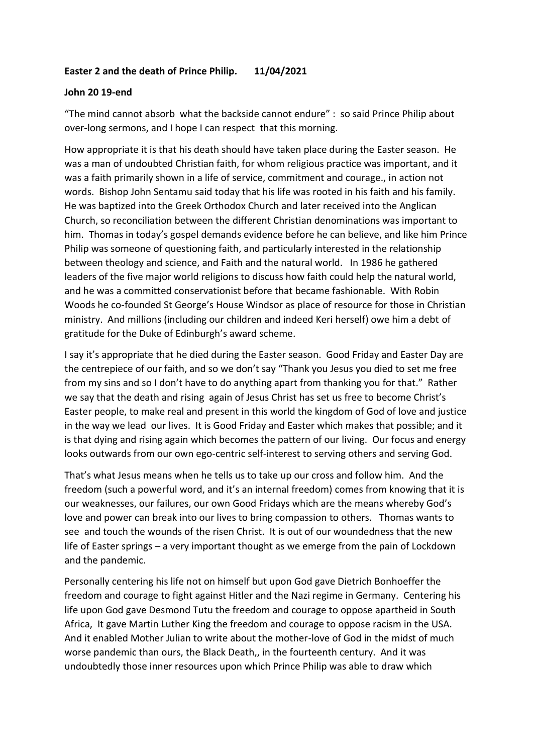## **Easter 2 and the death of Prince Philip. 11/04/2021**

## **John 20 19-end**

"The mind cannot absorb what the backside cannot endure" : so said Prince Philip about over-long sermons, and I hope I can respect that this morning.

How appropriate it is that his death should have taken place during the Easter season. He was a man of undoubted Christian faith, for whom religious practice was important, and it was a faith primarily shown in a life of service, commitment and courage., in action not words. Bishop John Sentamu said today that his life was rooted in his faith and his family. He was baptized into the Greek Orthodox Church and later received into the Anglican Church, so reconciliation between the different Christian denominations was important to him. Thomas in today's gospel demands evidence before he can believe, and like him Prince Philip was someone of questioning faith, and particularly interested in the relationship between theology and science, and Faith and the natural world. In 1986 he gathered leaders of the five major world religions to discuss how faith could help the natural world, and he was a committed conservationist before that became fashionable. With Robin Woods he co-founded St George's House Windsor as place of resource for those in Christian ministry. And millions (including our children and indeed Keri herself) owe him a debt of gratitude for the Duke of Edinburgh's award scheme.

I say it's appropriate that he died during the Easter season. Good Friday and Easter Day are the centrepiece of our faith, and so we don't say "Thank you Jesus you died to set me free from my sins and so I don't have to do anything apart from thanking you for that." Rather we say that the death and rising again of Jesus Christ has set us free to become Christ's Easter people, to make real and present in this world the kingdom of God of love and justice in the way we lead our lives. It is Good Friday and Easter which makes that possible; and it is that dying and rising again which becomes the pattern of our living. Our focus and energy looks outwards from our own ego-centric self-interest to serving others and serving God.

That's what Jesus means when he tells us to take up our cross and follow him. And the freedom (such a powerful word, and it's an internal freedom) comes from knowing that it is our weaknesses, our failures, our own Good Fridays which are the means whereby God's love and power can break into our lives to bring compassion to others. Thomas wants to see and touch the wounds of the risen Christ. It is out of our woundedness that the new life of Easter springs – a very important thought as we emerge from the pain of Lockdown and the pandemic.

Personally centering his life not on himself but upon God gave Dietrich Bonhoeffer the freedom and courage to fight against Hitler and the Nazi regime in Germany. Centering his life upon God gave Desmond Tutu the freedom and courage to oppose apartheid in South Africa, It gave Martin Luther King the freedom and courage to oppose racism in the USA. And it enabled Mother Julian to write about the mother-love of God in the midst of much worse pandemic than ours, the Black Death,, in the fourteenth century. And it was undoubtedly those inner resources upon which Prince Philip was able to draw which